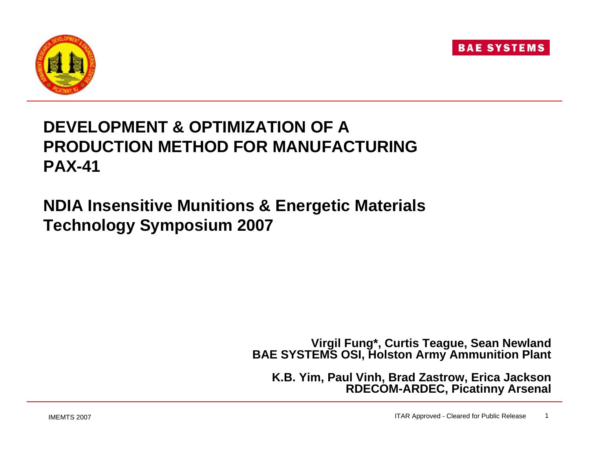



#### **DEVELOPMENT & OPTIMIZATION OF A PRODUCTION METHOD FOR MANUFACTURING PAX-41**

#### **NDIA Insensitive Munitions & Energetic Materials Technology Symposium 2007**

**Virgil Fung\*, Curtis Teague, Sean Newland BAE SYSTEMS OSI, Holston Army Ammunition Plant**

**K.B. Yim, Paul Vinh, Brad Zastrow, Erica Jackson RDECOM-ARDEC, Picatinny Arsenal**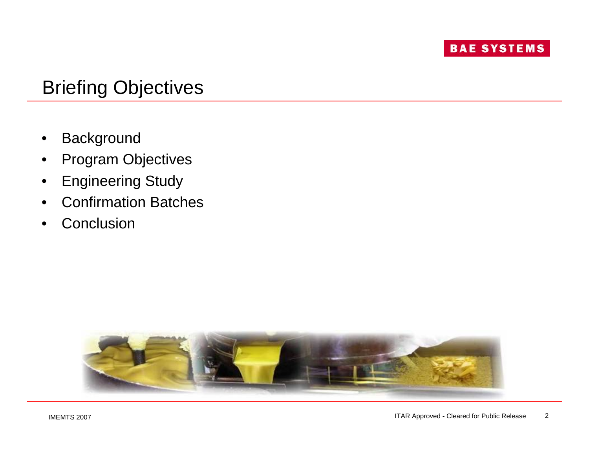

#### Briefing Objectives

- **Background**
- Program Objectives
- Engineering Study
- Confirmation Batches
- **Conclusion**

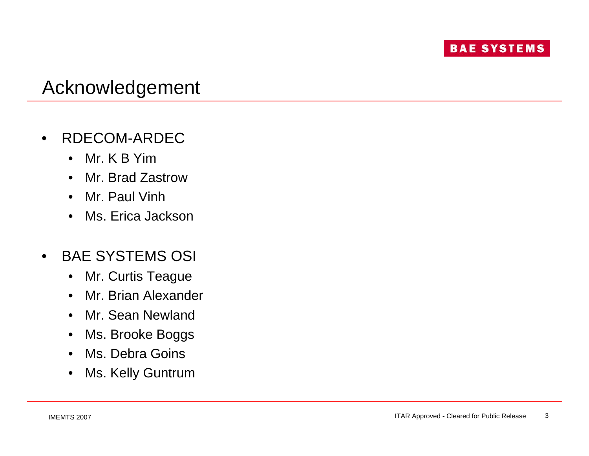

#### Acknowledgement

- RDECOM-ARDEC
	- Mr. K B Yim
	- Mr. Brad Zastrow
	- Mr. Paul Vinh
	- Ms. Erica Jackson
- BAE SYSTEMS OSI
	- Mr. Curtis Teague
	- Mr. Brian Alexander
	- Mr. Sean Newland
	- Ms. Brooke Boggs
	- Ms. Debra Goins
	- Ms. Kelly Guntrum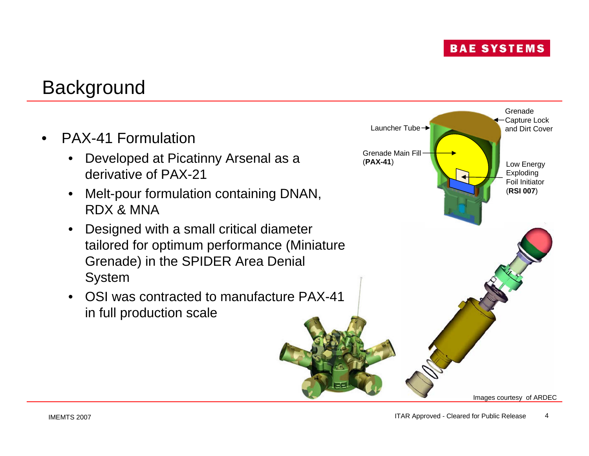## **Background**

- PAX-41 Formulation
	- Developed at Picatinny Arsenal as a derivative of PAX-21
	- Melt-pour formulation containing DNAN, RDX & MNA
	- Designed with a small critical diameter tailored for optimum performance (Miniature Grenade) in the SPIDER Area Denial System
	- OSI was contracted to manufacture PAX-41 in full production scale

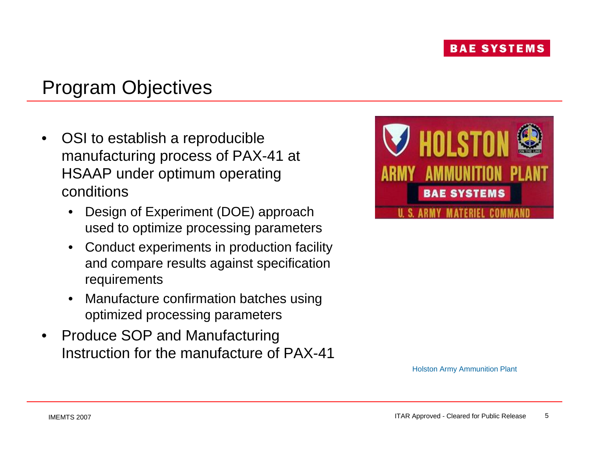#### Program Objectives

- OSI to establish a reproducible manufacturing process of PAX-41 at HSAAP under optimum operating conditions
	- Design of Experiment (DOE) approach used to optimize processing parameters
	- Conduct experiments in production facility and compare results against specification requirements
	- Manufacture confirmation batches using optimized processing parameters
- Produce SOP and Manufacturing Instruction for the manufacture of PAX-41



Holston Army Ammunition Plant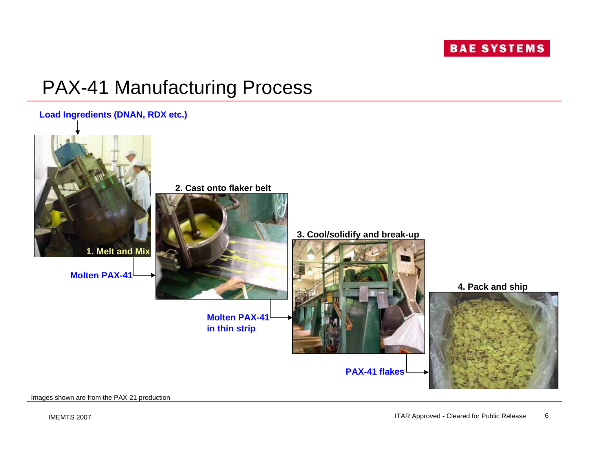

## PAX-41 Manufacturing Process

#### **Load Ingredients (DNAN, RDX etc.)**



**Molten PAX-41**



**Molten PAX-41in thin strip**

**3. Cool/solidify and break-up**



**PAX-41 flakes**





Images shown are from the PAX-21 production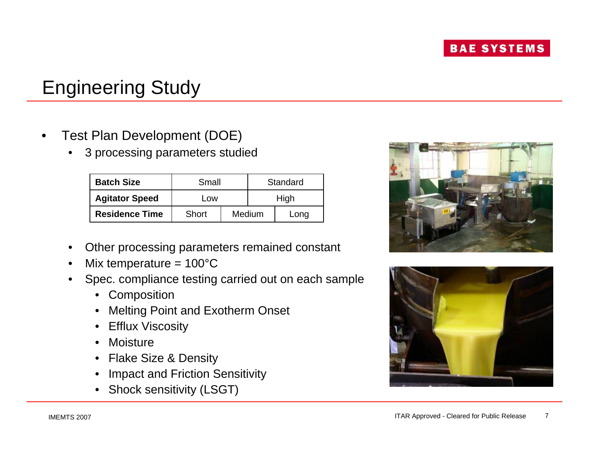# Engineering Study

- Test Plan Development (DOE)
	- 3 processing parameters studied

| <b>Batch Size</b>     | Small |        | Standard |      |  |  |
|-----------------------|-------|--------|----------|------|--|--|
| <b>Agitator Speed</b> | Low   |        | High     |      |  |  |
| <b>Residence Time</b> | Short | Medium |          | Long |  |  |

- Other processing parameters remained constant
- Mix temperature =  $100^{\circ}$ C
- Spec. compliance testing carried out on each sample
	- Composition
	- Melting Point and Exotherm Onset
	- Efflux Viscosity
	- Moisture
	- Flake Size & Density
	- Impact and Friction Sensitivity
	- Shock sensitivity (LSGT)



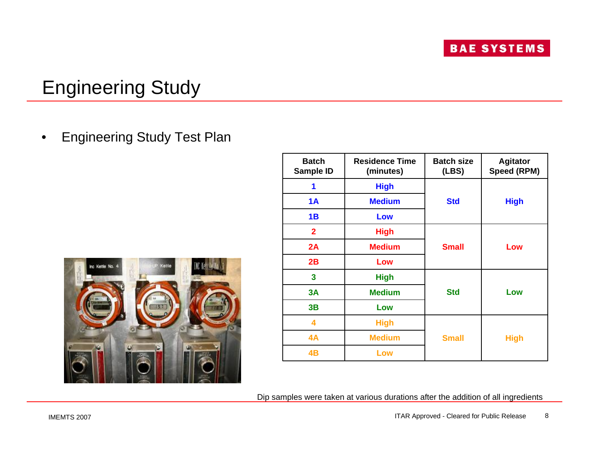# Engineering Study

• Engineering Study Test Plan



| <b>Batch</b><br>Sample ID | <b>Residence Time</b><br>(minutes) | <b>Batch size</b><br>(LBS) | <b>Agitator</b><br>Speed (RPM) |  |  |
|---------------------------|------------------------------------|----------------------------|--------------------------------|--|--|
| 1                         | <b>High</b>                        |                            |                                |  |  |
| 1A                        | <b>Medium</b>                      | <b>Std</b>                 | <b>High</b>                    |  |  |
| 1B                        | Low                                |                            |                                |  |  |
| $\overline{2}$            | <b>High</b>                        |                            |                                |  |  |
| 2A                        | <b>Medium</b>                      | <b>Small</b>               | Low                            |  |  |
| 2B                        | Low                                |                            |                                |  |  |
| 3                         | <b>High</b>                        |                            |                                |  |  |
| 3A                        | <b>Medium</b>                      | <b>Std</b>                 | Low                            |  |  |
| 3B                        | Low                                |                            |                                |  |  |
| 4                         | <b>High</b>                        |                            |                                |  |  |
| 4A                        | <b>Medium</b>                      | <b>Small</b>               | <b>High</b>                    |  |  |
| 4B                        | Low                                |                            |                                |  |  |

Dip samples were taken at various durations after the addition of all ingredients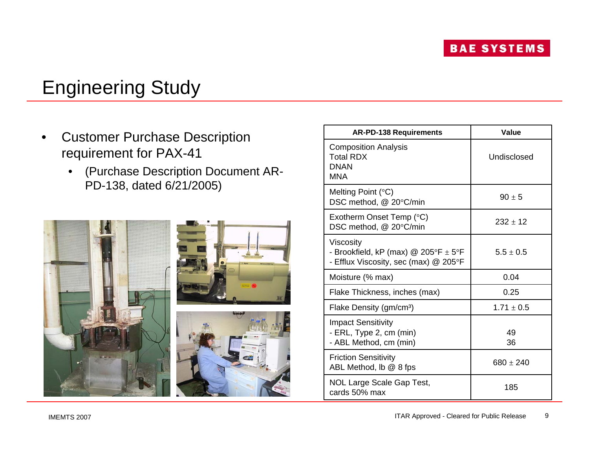# Engineering Study

- Customer Purchase Description requirement for PAX-41
	- (Purchase Description Document AR-PD-138, dated 6/21/2005)



| <b>AR-PD-138 Requirements</b>                                                                  | Value          |  |  |  |
|------------------------------------------------------------------------------------------------|----------------|--|--|--|
| <b>Composition Analysis</b><br><b>Total RDX</b><br><b>DNAN</b><br>MNA                          | Undisclosed    |  |  |  |
| Melting Point $(°C)$<br>DSC method, @ 20°C/min                                                 | $90 \pm 5$     |  |  |  |
| Exotherm Onset Temp (°C)<br>DSC method, @ 20°C/min                                             | $232 \pm 12$   |  |  |  |
| Viscosity<br>- Brookfield, kP (max) @ 205°F $\pm$ 5°F<br>- Efflux Viscosity, sec (max) @ 205°F | $5.5 + 0.5$    |  |  |  |
| Moisture (% max)                                                                               | 0.04           |  |  |  |
| Flake Thickness, inches (max)                                                                  | 0.25           |  |  |  |
| Flake Density (gm/cm <sup>3</sup> )                                                            | $1.71 \pm 0.5$ |  |  |  |
| <b>Impact Sensitivity</b><br>- ERL, Type 2, cm (min)<br>- ABL Method, cm (min)                 | 49<br>36       |  |  |  |
| <b>Friction Sensitivity</b><br>ABL Method, Ib @ 8 fps                                          | $680 \pm 240$  |  |  |  |
| NOL Large Scale Gap Test,<br>cards 50% max                                                     | 185            |  |  |  |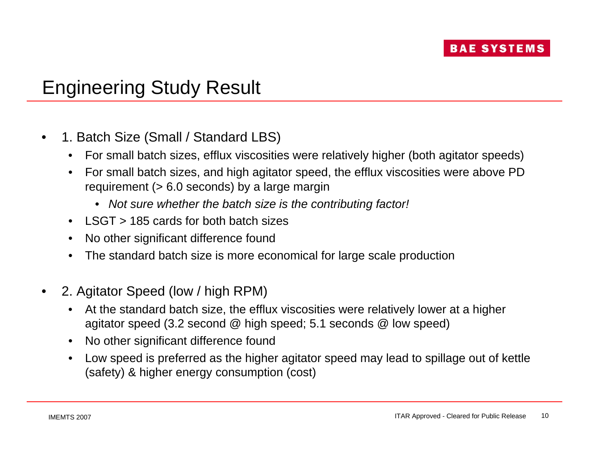## Engineering Study Result

- 1. Batch Size (Small / Standard LBS)
	- For small batch sizes, efflux viscosities were relatively higher (both agitator speeds)
	- For small batch sizes, and high agitator speed, the efflux viscosities were above PD requirement (> 6.0 seconds) by a large margin
		- *Not sure whether the batch size is the contributing factor!*
	- LSGT > 185 cards for both batch sizes
	- No other significant difference found
	- The standard batch size is more economical for large scale production
- 2. Agitator Speed (low / high RPM)
	- At the standard batch size, the efflux viscosities were relatively lower at a higher agitator speed (3.2 second @ high speed; 5.1 seconds @ low speed)
	- No other significant difference found
	- Low speed is preferred as the higher agitator speed may lead to spillage out of kettle (safety) & higher energy consumption (cost)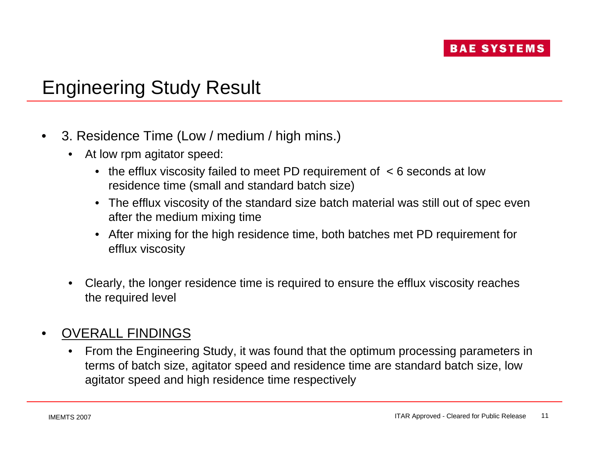## Engineering Study Result

- 3. Residence Time (Low / medium / high mins.)
	- At low rpm agitator speed:
		- the efflux viscosity failed to meet PD requirement of < 6 seconds at low residence time (small and standard batch size)
		- The efflux viscosity of the standard size batch material was still out of spec even after the medium mixing time
		- After mixing for the high residence time, both batches met PD requirement for efflux viscosity
	- Clearly, the longer residence time is required to ensure the efflux viscosity reaches the required level

#### • OVERALL FINDINGS

• From the Engineering Study, it was found that the optimum processing parameters in terms of batch size, agitator speed and residence time are standard batch size, low agitator speed and high residence time respectively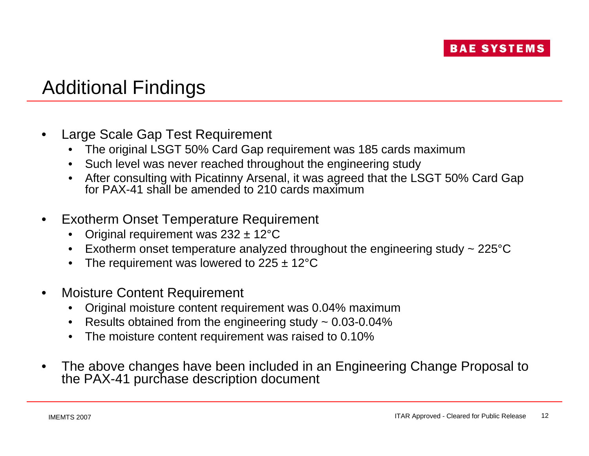## Additional Findings

- Large Scale Gap Test Requirement
	- The original LSGT 50% Card Gap requirement was 185 cards maximum
	- Such level was never reached throughout the engineering study
	- After consulting with Picatinny Arsenal, it was agreed that the LSGT 50% Card Gap for PAX-41 shall be amended to 210 cards maximum
- Exotherm Onset Temperature Requirement
	- Original requirement was 232 ± 12°C
	- Exotherm onset temperature analyzed throughout the engineering study  $\sim$  225 $\degree$ C
	- The requirement was lowered to  $225 \pm 12^{\circ}$ C
- Moisture Content Requirement
	- Original moisture content requirement was 0.04% maximum
	- Results obtained from the engineering study  $\sim 0.03$ -0.04%
	- The moisture content requirement was raised to 0.10%
- The above changes have been included in an Engineering Change Proposal to the PAX-41 purchase description document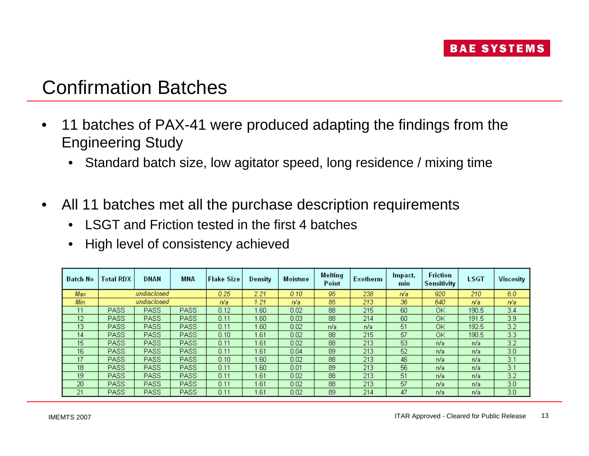#### Confirmation Batches

- 11 batches of PAX-41 were produced adapting the findings from the Engineering Study
	- Standard batch size, low agitator speed, long residence / mixing time
- All 11 batches met all the purchase description requirements
	- LSGT and Friction tested in the first 4 batches
	- High level of consistency achieved

| <b>Batch No</b> | <b>Total RDX</b> | <b>DNAN</b> | <b>MNA</b>  | <b>Flake Size</b> | <b>Density</b> | <b>Moisture</b> | <b>Melting</b><br>Point | <b>Exotherm</b> | Impact,<br>min | <b>Friction</b><br>Sensitivity | <b>LSGT</b> | <b>Viscosity</b> |
|-----------------|------------------|-------------|-------------|-------------------|----------------|-----------------|-------------------------|-----------------|----------------|--------------------------------|-------------|------------------|
| Max             | undisclosed      |             |             | 0.25              | 2.21           | 0.10            | 95                      | 238             | n/a            | 920                            | 210         | 6.0              |
| Min             | undisclosed      |             | n/a         | 1.21              | n/a            | 85              | 213                     | 36              | 640            | n/a                            | n/a         |                  |
| 11              | <b>PASS</b>      | PASS        | <b>PASS</b> | 0.12              | 1.60           | 0.02            | 88                      | 215             | 60             | OK                             | 190.5       | 3.4              |
| 12              | <b>PASS</b>      | <b>PASS</b> | <b>PASS</b> | 0.11              | 1.60           | 0.03            | 88                      | 214             | 60             | OK                             | 191.5       | 3.9              |
| 13              | PASS             | <b>PASS</b> | <b>PASS</b> | 0.11              | 1.60           | 0.02            | n/a                     | n/a             | 51             | ΟK                             | 192.5       | 3.2              |
| 14              | <b>PASS</b>      | <b>PASS</b> | PASS        | 0.10              | 1.61           | 0.02            | 88                      | 215             | 57             | OK                             | 190.5       | 3.3              |
| 15              | PASS             | <b>PASS</b> | <b>PASS</b> | 0.11              | 1.61           | 0.02            | 88                      | 213             | 53             | n/a                            | n/a         | 3.2              |
| 16              | <b>PASS</b>      | PASS        | <b>PASS</b> | 0.11              | 1.61           | 0.04            | 89                      | 213             | 52             | n/a                            | n/a         | 3.0              |
| 17              | <b>PASS</b>      | <b>PASS</b> | <b>PASS</b> | 0.10              | 1.60           | 0.02            | 88                      | 213             | 46             | n/a                            | n/a         | 3.1              |
| 18              | <b>PASS</b>      | <b>PASS</b> | <b>PASS</b> | 0.11              | 1.60           | 0.01            | 89                      | 213             | 56             | n/a                            | n/a         | 3.1              |
| 19              | <b>PASS</b>      | <b>PASS</b> | <b>PASS</b> | 0.11              | 1.61           | 0.02            | 88                      | 213             | 51             | n/a                            | n/a         | 3.2              |
| 20              | <b>PASS</b>      | <b>PASS</b> | <b>PASS</b> | 0.11              | 1.61           | 0.02            | 88                      | 213             | 57             | n/a                            | n/a         | 3.0              |
| 21              | <b>PASS</b>      | PASS        | PASS        | 0.11              | 1.61           | 0.02            | 89                      | 214             | 47             | n/a                            | n/a         | 3.0              |